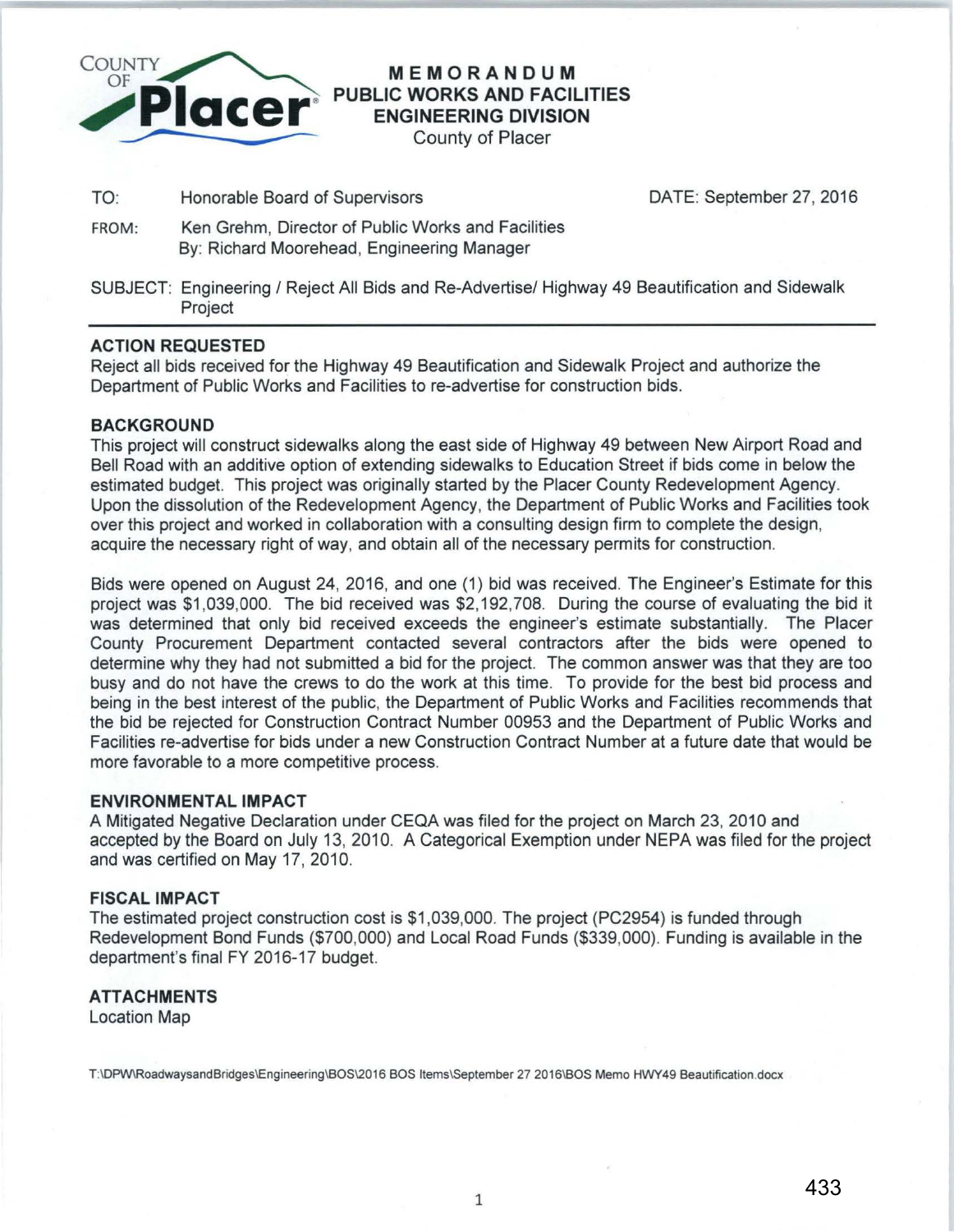

# **MEMORANDUM PUBLIC WORKS AND FACILITIES ENGINEERING DIVISION**

County of Placer

TO: Honorable Board of Supervisors DATE: September 27, 2016

- FROM: Ken Grehm, Director of Public Works and Facilities By: Richard Moorehead, Engineering Manager
- SUBJECT: Engineering / Reject All Bids and Re-Advertise/ Highway 49 Beautification and Sidewalk Project

## **ACTION REQUESTED**

Reject all bids received for the Highway 49 Beautification and Sidewalk Project and authorize the Department of Public Works and Facilities to re-advertise for construction bids.

#### **BACKGROUND**

This project will construct sidewalks along the east side of Highway 49 between New Airport Road and Bell Road with an additive option of extending sidewalks to Education Street if bids come in below the estimated budget. This project was originally started by the Placer County Redevelopment Agency. Upon the dissolution of the Redevelopment Agency, the Department of Public Works and Facilities took over this project and worked in collaboration with a consulting design firm to complete the design, acquire the necessary right of way, and obtain all of the necessary permits for construction.

Bids were opened on August 24, 2016, and one (1) bid was received. The Engineer's Estimate for this project was \$1 ,039,000. The bid received was \$2,192,708. During the course of evaluating the bid it was determined that only bid received exceeds the engineer's estimate substantially. The Placer County Procurement Department contacted several contractors after the bids were opened to determine why they had not submitted a bid for the project. The common answer was that they are too busy and do not have the crews to do the work at this time. To provide for the best bid process and being in the best interest of the public, the Department of Public Works and Facilities recommends that the bid be rejected for Construction Contract Number 00953 and the Department of Public Works and Facilities re-advertise for bids under a new Construction Contract Number at a future date that would be more favorable to a more competitive process.

#### **ENVIRONMENTAL IMPACT**

A Mitigated Negative Declaration under CEQA was filed for the project on March 23, 2010 and accepted by the Board on July 13, 2010. A Categorical Exemption under NEPA was filed for the project and was certified on May 17, 2010.

# **FISCAL IMPACT**

The estimated project construction cost is \$1 ,039,000. The project (PC2954) is funded through Redevelopment Bond Funds (\$700,000) and Local Road Funds (\$339,000). Funding is available in the department's final FY 2016-17 budget.

## **ATTACHMENTS**

Location Map

T:\DPW\RoadwaysandBridges\Engineering\BOS\2016 BOS Items\September 27 2016\BOS Memo HWY49 Beautification.docx